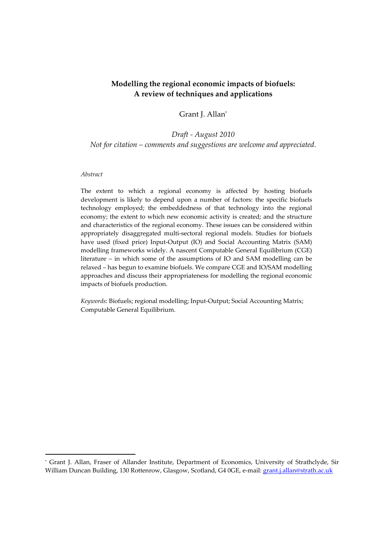#### **Modelling the regional economic impacts of biofuels: A review of techniques and applications**

#### Grant J. Allan\*

### *Draft ‐ August 2010 Not for citation – comments and suggestions are welcome and appreciated.*

#### *Abstract*

The extent to which a regional economy is affected by hosting biofuels development is likely to depend upon a number of factors: the specific biofuels technology employed; the embeddedness of that technology into the regional economy; the extent to which new economic activity is created; and the structure and characteristics of the regional economy. These issues can be considered within appropriately disaggregated multi‐sectoral regional models. Studies for biofuels have used (fixed price) Input‐Output (IO) and Social Accounting Matrix (SAM) modelling frameworks widely. A nascent Computable General Equilibrium (CGE) literature – in which some of the assumptions of IO and SAM modelling can be relaxed – has begun to examine biofuels. We compare CGE and IO/SAM modelling approaches and discuss their appropriateness for modelling the regional economic impacts of biofuels production.

*Keywords*: Biofuels; regional modelling; Input‐Output; Social Accounting Matrix; Computable General Equilibrium.

<sup>\*</sup> Grant J. Allan, Fraser of Allander Institute, Department of Economics, University of Strathclyde, Sir William Duncan Building, 130 Rottenrow, Glasgow, Scotland, G4 0GE, e-mail: grant.j.allan@strath.ac.uk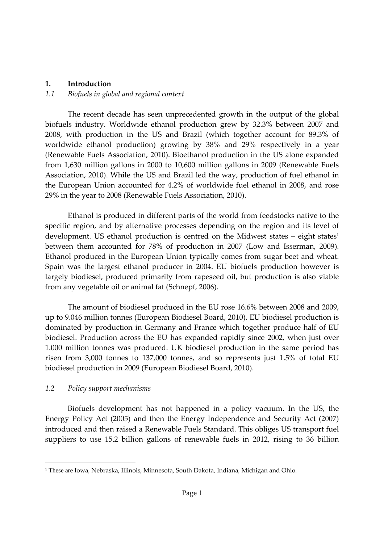### **1. Introduction**

### *1.1 Biofuels in global and regional context*

The recent decade has seen unprecedented growth in the output of the global biofuels industry. Worldwide ethanol production grew by 32.3% between 2007 and 2008, with production in the US and Brazil (which together account for 89.3% of worldwide ethanol production) growing by 38% and 29% respectively in a year (Renewable Fuels Association, 2010). Bioethanol production in the US alone expanded from 1,630 million gallons in 2000 to 10,600 million gallons in 2009 (Renewable Fuels Association, 2010). While the US and Brazil led the way, production of fuel ethanol in the European Union accounted for 4.2% of worldwide fuel ethanol in 2008, and rose 29% in the year to 2008 (Renewable Fuels Association, 2010).

Ethanol is produced in different parts of the world from feedstocks native to the specific region, and by alternative processes depending on the region and its level of development. US ethanol production is centred on the Midwest states – eight states<sup>1</sup> between them accounted for 78% of production in 2007 (Low and Isserman, 2009). Ethanol produced in the European Union typically comes from sugar beet and wheat. Spain was the largest ethanol producer in 2004. EU biofuels production however is largely biodiesel, produced primarily from rapeseed oil, but production is also viable from any vegetable oil or animal fat (Schnepf, 2006).

The amount of biodiesel produced in the EU rose 16.6% between 2008 and 2009, up to 9.046 million tonnes (European Biodiesel Board, 2010). EU biodiesel production is dominated by production in Germany and France which together produce half of EU biodiesel. Production across the EU has expanded rapidly since 2002, when just over 1.000 million tonnes was produced. UK biodiesel production in the same period has risen from 3,000 tonnes to 137,000 tonnes, and so represents just 1.5% of total EU biodiesel production in 2009 (European Biodiesel Board, 2010).

# *1.2 Policy support mechanisms*

Biofuels development has not happened in a policy vacuum. In the US, the Energy Policy Act (2005) and then the Energy Independence and Security Act (2007) introduced and then raised a Renewable Fuels Standard. This obliges US transport fuel suppliers to use 15.2 billion gallons of renewable fuels in 2012, rising to 36 billion

<sup>1</sup> These are Iowa, Nebraska, Illinois, Minnesota, South Dakota, Indiana, Michigan and Ohio.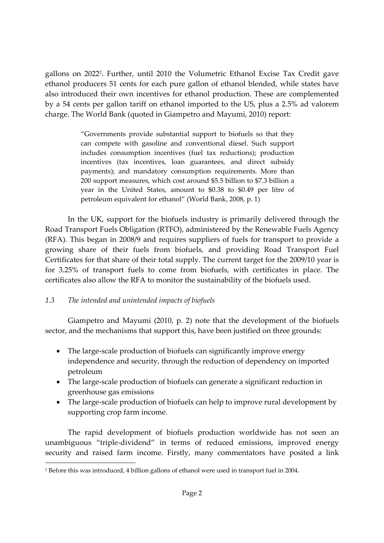gallons on 2022<sup>2</sup>. Further, until 2010 the Volumetric Ethanol Excise Tax Credit gave ethanol producers 51 cents for each pure gallon of ethanol blended, while states have also introduced their own incentives for ethanol production. These are complemented by a 54 cents per gallon tariff on ethanol imported to the US, plus a 2.5% ad valorem charge. The World Bank (quoted in Giampetro and Mayumi, 2010) report:

> "Governments provide substantial support to biofuels so that they can compete with gasoline and conventional diesel. Such support includes consumption incentives (fuel tax reductions); production incentives (tax incentives, loan guarantees, and direct subsidy payments); and mandatory consumption requirements. More than 200 support measures, which cost around \$5.5 billion to \$7.3 billion a year in the United States, amount to \$0.38 to \$0.49 per litre of petroleum equivalent for ethanol" (World Bank, 2008, p. 1)

In the UK, support for the biofuels industry is primarily delivered through the Road Transport Fuels Obligation (RTFO), administered by the Renewable Fuels Agency (RFA). This began in 2008/9 and requires suppliers of fuels for transport to provide a growing share of their fuels from biofuels, and providing Road Transport Fuel Certificates for that share of their total supply. The current target for the 2009/10 year is for 3.25% of transport fuels to come from biofuels, with certificates in place. The certificates also allow the RFA to monitor the sustainability of the biofuels used.

# *1.3 The intended and unintended impacts of biofuels*

Giampetro and Mayumi (2010, p. 2) note that the development of the biofuels sector, and the mechanisms that support this, have been justified on three grounds:

- The large-scale production of biofuels can significantly improve energy independence and security, through the reduction of dependency on imported petroleum
- The large-scale production of biofuels can generate a significant reduction in greenhouse gas emissions
- The large-scale production of biofuels can help to improve rural development by supporting crop farm income.

The rapid development of biofuels production worldwide has not seen an unambiguous "triple‐dividend" in terms of reduced emissions, improved energy security and raised farm income. Firstly, many commentators have posited a link

<sup>2</sup> Before this was introduced, 4 billion gallons of ethanol were used in transport fuel in 2004.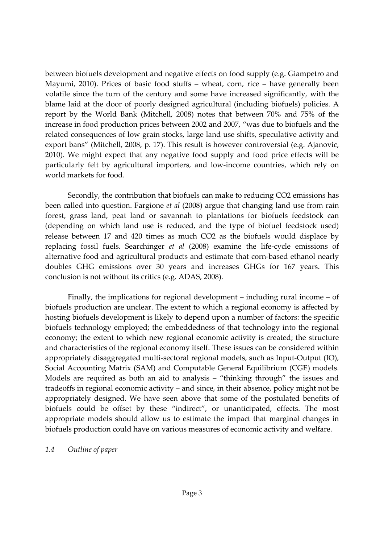between biofuels development and negative effects on food supply (e.g. Giampetro and Mayumi, 2010). Prices of basic food stuffs – wheat, corn, rice – have generally been volatile since the turn of the century and some have increased significantly, with the blame laid at the door of poorly designed agricultural (including biofuels) policies. A report by the World Bank (Mitchell, 2008) notes that between 70% and 75% of the increase in food production prices between 2002 and 2007, "was due to biofuels and the related consequences of low grain stocks, large land use shifts, speculative activity and export bans" (Mitchell, 2008, p. 17). This result is however controversial (e.g. Ajanovic, 2010). We might expect that any negative food supply and food price effects will be particularly felt by agricultural importers, and low-income countries, which rely on world markets for food.

Secondly, the contribution that biofuels can make to reducing CO2 emissions has been called into question. Fargione *et al* (2008) argue that changing land use from rain forest, grass land, peat land or savannah to plantations for biofuels feedstock can (depending on which land use is reduced, and the type of biofuel feedstock used) release between 17 and 420 times as much CO2 as the biofuels would displace by replacing fossil fuels. Searchinger *et al* (2008) examine the life‐cycle emissions of alternative food and agricultural products and estimate that corn‐based ethanol nearly doubles GHG emissions over 30 years and increases GHGs for 167 years. This conclusion is not without its critics (e.g. ADAS, 2008).

Finally, the implications for regional development – including rural income – of biofuels production are unclear. The extent to which a regional economy is affected by hosting biofuels development is likely to depend upon a number of factors: the specific biofuels technology employed; the embeddedness of that technology into the regional economy; the extent to which new regional economic activity is created; the structure and characteristics of the regional economy itself. These issues can be considered within appropriately disaggregated multi‐sectoral regional models, such as Input‐Output (IO), Social Accounting Matrix (SAM) and Computable General Equilibrium (CGE) models. Models are required as both an aid to analysis – "thinking through" the issues and tradeoffs in regional economic activity – and since, in their absence, policy might not be appropriately designed. We have seen above that some of the postulated benefits of biofuels could be offset by these "indirect", or unanticipated, effects. The most appropriate models should allow us to estimate the impact that marginal changes in biofuels production could have on various measures of economic activity and welfare.

#### *1.4 Outline of paper*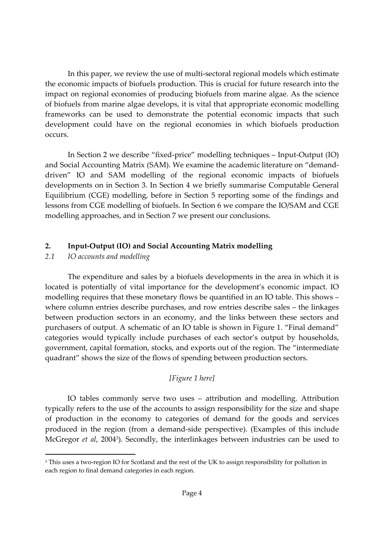In this paper, we review the use of multi-sectoral regional models which estimate the economic impacts of biofuels production. This is crucial for future research into the impact on regional economies of producing biofuels from marine algae. As the science of biofuels from marine algae develops, it is vital that appropriate economic modelling frameworks can be used to demonstrate the potential economic impacts that such development could have on the regional economies in which biofuels production occurs.

In Section 2 we describe "fixed‐price" modelling techniques – Input‐Output (IO) and Social Accounting Matrix (SAM). We examine the academic literature on "demand‐ driven" IO and SAM modelling of the regional economic impacts of biofuels developments on in Section 3. In Section 4 we briefly summarise Computable General Equilibrium (CGE) modelling, before in Section 5 reporting some of the findings and lessons from CGE modelling of biofuels. In Section 6 we compare the IO/SAM and CGE modelling approaches, and in Section 7 we present our conclusions.

### **2. Input‐Output (IO) and Social Accounting Matrix modelling**

### *2.1 IO accounts and modelling*

The expenditure and sales by a biofuels developments in the area in which it is located is potentially of vital importance for the development's economic impact. IO modelling requires that these monetary flows be quantified in an IO table. This shows – where column entries describe purchases, and row entries describe sales – the linkages between production sectors in an economy, and the links between these sectors and purchasers of output. A schematic of an IO table is shown in Figure 1. "Final demand" categories would typically include purchases of each sector's output by households, government, capital formation, stocks, and exports out of the region. The "intermediate quadrant" shows the size of the flows of spending between production sectors.

# *[Figure 1 here]*

IO tables commonly serve two uses – attribution and modelling. Attribution typically refers to the use of the accounts to assign responsibility for the size and shape of production in the economy to categories of demand for the goods and services produced in the region (from a demand‐side perspective). (Examples of this include McGregor *et al*, 20043). Secondly, the interlinkages between industries can be used to

<sup>&</sup>lt;sup>3</sup> This uses a two-region IO for Scotland and the rest of the UK to assign responsibility for pollution in each region to final demand categories in each region.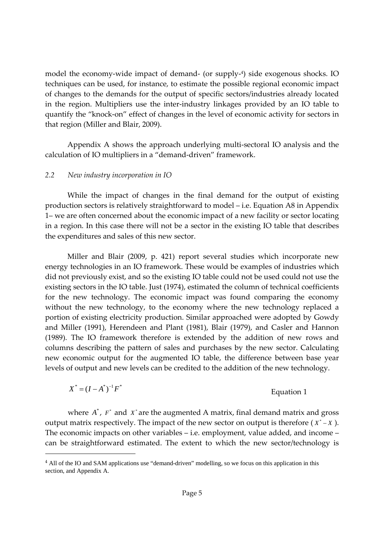model the economy-wide impact of demand- (or supply-<sup>4</sup>) side exogenous shocks. IO techniques can be used, for instance, to estimate the possible regional economic impact of changes to the demands for the output of specific sectors/industries already located in the region. Multipliers use the inter‐industry linkages provided by an IO table to quantify the "knock-on" effect of changes in the level of economic activity for sectors in that region (Miller and Blair, 2009).

Appendix A shows the approach underlying multi‐sectoral IO analysis and the calculation of IO multipliers in a "demand‐driven" framework.

#### *2.2 New industry incorporation in IO*

While the impact of changes in the final demand for the output of existing production sectors is relatively straightforward to model – i.e. Equation A8 in Appendix 1– we are often concerned about the economic impact of a new facility or sector locating in a region. In this case there will not be a sector in the existing IO table that describes the expenditures and sales of this new sector.

Miller and Blair (2009, p. 421) report several studies which incorporate new energy technologies in an IO framework. These would be examples of industries which did not previously exist, and so the existing IO table could not be used could not use the existing sectors in the IO table. Just (1974), estimated the column of technical coefficients for the new technology. The economic impact was found comparing the economy without the new technology, to the economy where the new technology replaced a portion of existing electricity production. Similar approached were adopted by Gowdy and Miller (1991), Herendeen and Plant (1981), Blair (1979), and Casler and Hannon (1989). The IO framework therefore is extended by the addition of new rows and columns describing the pattern of sales and purchases by the new sector. Calculating new economic output for the augmented IO table, the difference between base year levels of output and new levels can be credited to the addition of the new technology.

$$
X^* = (I - A^*)^{-1} F^*
$$
 Equation 1

where  $A^*$ ,  $F^*$  and  $X^*$  are the augmented A matrix, final demand matrix and gross output matrix respectively. The impact of the new sector on output is therefore  $(X^* - X)$ . The economic impacts on other variables – i.e. employment, value added, and income – can be straightforward estimated. The extent to which the new sector/technology is

<sup>&</sup>lt;sup>4</sup> All of the IO and SAM applications use "demand-driven" modelling, so we focus on this application in this section, and Appendix A.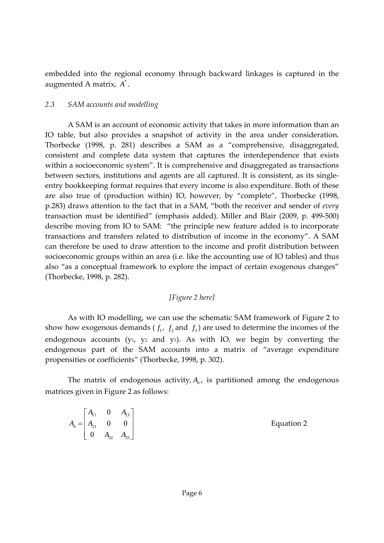embedded into the regional economy through backward linkages is captured in the augmented A matrix,  $A^*$ .

### *2.3 SAM accounts and modelling*

A SAM is an account of economic activity that takes in more information than an IO table, but also provides a snapshot of activity in the area under consideration. Thorbecke (1998, p. 281) describes a SAM as a "comprehensive, disaggregated, consistent and complete data system that captures the interdependence that exists within a socioeconomic system". It is comprehensive and disaggregated as transactions between sectors, institutions and agents are all captured. It is consistent, as its singleentry bookkeeping format requires that every income is also expenditure. Both of these are also true of (production within) IO, however, by "complete", Thorbecke (1998, p.283) draws attention to the fact that in a SAM, "both the receiver and sender of *every* transaction must be identified" (emphasis added). Miller and Blair (2009, p. 499‐500) describe moving from IO to SAM: "the principle new feature added is to incorporate transactions and transfers related to distribution of income in the economy". A SAM can therefore be used to draw attention to the income and profit distribution between socioeconomic groups within an area (i.e. like the accounting use of IO tables) and thus also "as a conceptual framework to explore the impact of certain exogenous changes" (Thorbecke, 1998, p. 282).

# *[Figure 2 here]*

As with IO modelling, we can use the schematic SAM framework of Figure 2 to show how exogenous demands  $(f_1, f_2, f_3)$  are used to determine the incomes of the endogenous accounts ( $y_1$ ,  $y_2$  and  $y_3$ ). As with IO, we begin by converting the endogenous part of the SAM accounts into a matrix of "average expenditure propensities or coefficients" (Thorbecke, 1998, p. 302).

The matrix of endogenous activity,  $A_n$ , is partitioned among the endogenous matrices given in Figure 2 as follows:

|                        |  | $\begin{bmatrix} A_{11} & 0 & A_{13} \end{bmatrix}$ |            |
|------------------------|--|-----------------------------------------------------|------------|
| $A_n =   A_{21}   0 0$ |  |                                                     | Equation 2 |
|                        |  | $\begin{bmatrix} 0 & A_{32} & A_{33} \end{bmatrix}$ |            |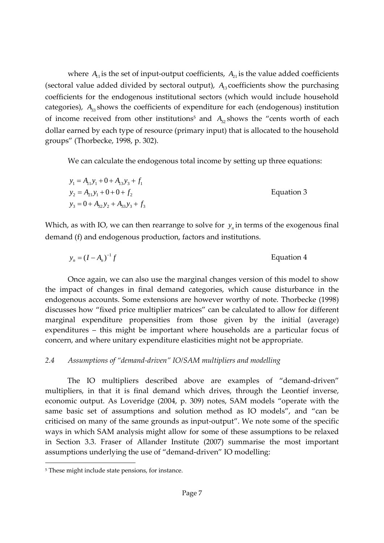where  $A_{11}$  is the set of input-output coefficients,  $A_{21}$  is the value added coefficients (sectoral value added divided by sectoral output),  $A<sub>13</sub>$  coefficients show the purchasing coefficients for the endogenous institutional sectors (which would include household categories),  $A_{33}$  shows the coefficients of expenditure for each (endogenous) institution of income received from other institutions<sup>5</sup> and  $A_3$  shows the "cents worth of each dollar earned by each type of resource (primary input) that is allocated to the household groups" (Thorbecke, 1998, p. 302).

We can calculate the endogenous total income by setting up three equations:

$$
y_1 = A_{11}y_1 + 0 + A_{13}y_3 + f_1
$$
  
\n
$$
y_2 = A_{21}y_1 + 0 + 0 + f_2
$$
  
\n
$$
y_3 = 0 + A_{32}y_2 + A_{33}y_3 + f_3
$$
  
\nEquation 3

Which, as with IO, we can then rearrange to solve for  $y<sub>n</sub>$  in terms of the exogenous final demand (f) and endogenous production, factors and institutions.

$$
y_n = (I - A_n)^{-1} f
$$
 Equation 4

Once again, we can also use the marginal changes version of this model to show the impact of changes in final demand categories, which cause disturbance in the endogenous accounts. Some extensions are however worthy of note. Thorbecke (1998) discusses how "fixed price multiplier matrices" can be calculated to allow for different marginal expenditure propensities from those given by the initial (average) expenditures – this might be important where households are a particular focus of concern, and where unitary expenditure elasticities might not be appropriate.

#### *2.4 Assumptions of "demand‐driven" IO/SAM multipliers and modelling*

The IO multipliers described above are examples of "demand-driven" multipliers, in that it is final demand which drives, through the Leontief inverse, economic output. As Loveridge (2004, p. 309) notes, SAM models "operate with the same basic set of assumptions and solution method as IO models", and "can be criticised on many of the same grounds as input‐output". We note some of the specific ways in which SAM analysis might allow for some of these assumptions to be relaxed in Section 3.3. Fraser of Allander Institute (2007) summarise the most important assumptions underlying the use of "demand‐driven" IO modelling:

<sup>&</sup>lt;sup>5</sup> These might include state pensions, for instance.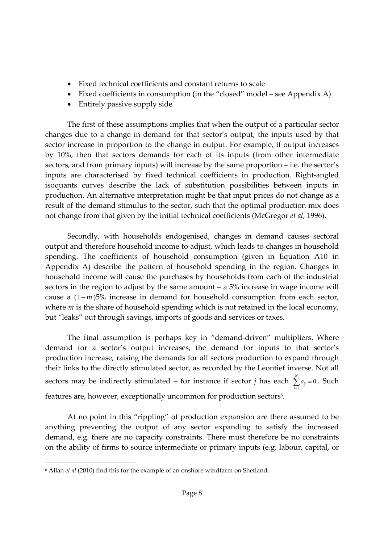- Fixed technical coefficients and constant returns to scale
- Fixed coefficients in consumption (in the "closed" model see Appendix A)
- Entirely passive supply side

The first of these assumptions implies that when the output of a particular sector changes due to a change in demand for that sector's output, the inputs used by that sector increase in proportion to the change in output. For example, if output increases by 10%, then that sectors demands for each of its inputs (from other intermediate sectors, and from primary inputs) will increase by the same proportion – i.e. the sector's inputs are characterised by fixed technical coefficients in production. Right‐angled isoquants curves describe the lack of substitution possibilities between inputs in production. An alternative interpretation might be that input prices do not change as a result of the demand stimulus to the sector, such that the optimal production mix does not change from that given by the initial technical coefficients (McGregor *et al*, 1996).

Secondly, with households endogenised, changes in demand causes sectoral output and therefore household income to adjust, which leads to changes in household spending. The coefficients of household consumption (given in Equation A10 in Appendix A) describe the pattern of household spending in the region. Changes in household income will cause the purchases by households from each of the industrial sectors in the region to adjust by the same amount – a 5% increase in wage income will cause a (1− *m* )5% increase in demand for household consumption from each sector, where *m* is the share of household spending which is not retained in the local economy, but "leaks" out through savings, imports of goods and services or taxes.

The final assumption is perhaps key in "demand‐driven" multipliers. Where demand for a sector's output increases, the demand for inputs to that sector's production increase, raising the demands for all sectors production to expand through their links to the directly stimulated sector, as recorded by the Leontief inverse. Not all sectors may be indirectly stimulated – for instance if sector *j* has each  $\sum_{i=1}^{N} a_{ij} = 0$ 1 *ij a i*  $\sum_{i=1} a_{ij} = 0$ . Such features are, however, exceptionally uncommon for production sectors<sup>6</sup>.

At no point in this "rippling" of production expansion are there assumed to be anything preventing the output of any sector expanding to satisfy the increased demand, e.g. there are no capacity constraints. There must therefore be no constraints on the ability of firms to source intermediate or primary inputs (e.g. labour, capital, or

<sup>6</sup> Allan *et al* (2010) find this for the example of an onshore windfarm on Shetland.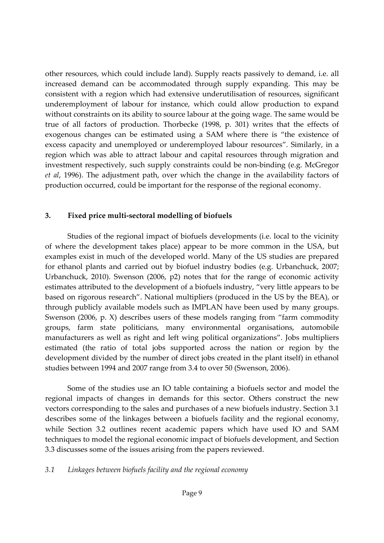other resources, which could include land). Supply reacts passively to demand, i.e. all increased demand can be accommodated through supply expanding. This may be consistent with a region which had extensive underutilisation of resources, significant underemployment of labour for instance, which could allow production to expand without constraints on its ability to source labour at the going wage. The same would be true of all factors of production. Thorbecke (1998, p. 301) writes that the effects of exogenous changes can be estimated using a SAM where there is "the existence of excess capacity and unemployed or underemployed labour resources". Similarly, in a region which was able to attract labour and capital resources through migration and investment respectively, such supply constraints could be non‐binding (e.g. McGregor *et al*, 1996). The adjustment path, over which the change in the availability factors of production occurred, could be important for the response of the regional economy.

#### **3. Fixed price multi‐sectoral modelling of biofuels**

Studies of the regional impact of biofuels developments (i.e. local to the vicinity of where the development takes place) appear to be more common in the USA, but examples exist in much of the developed world. Many of the US studies are prepared for ethanol plants and carried out by biofuel industry bodies (e.g. Urbanchuck, 2007; Urbanchuck, 2010). Swenson (2006, p2) notes that for the range of economic activity estimates attributed to the development of a biofuels industry, "very little appears to be based on rigorous research". National multipliers (produced in the US by the BEA), or through publicly available models such as IMPLAN have been used by many groups. Swenson (2006, p. X) describes users of these models ranging from "farm commodity groups, farm state politicians, many environmental organisations, automobile manufacturers as well as right and left wing political organizations". Jobs multipliers estimated (the ratio of total jobs supported across the nation or region by the development divided by the number of direct jobs created in the plant itself) in ethanol studies between 1994 and 2007 range from 3.4 to over 50 (Swenson, 2006).

Some of the studies use an IO table containing a biofuels sector and model the regional impacts of changes in demands for this sector. Others construct the new vectors corresponding to the sales and purchases of a new biofuels industry. Section 3.1 describes some of the linkages between a biofuels facility and the regional economy, while Section 3.2 outlines recent academic papers which have used IO and SAM techniques to model the regional economic impact of biofuels development, and Section 3.3 discusses some of the issues arising from the papers reviewed.

#### *3.1 Linkages between biofuels facility and the regional economy*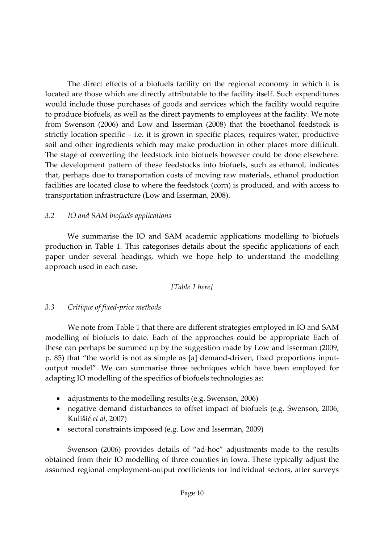The direct effects of a biofuels facility on the regional economy in which it is located are those which are directly attributable to the facility itself. Such expenditures would include those purchases of goods and services which the facility would require to produce biofuels, as well as the direct payments to employees at the facility. We note from Swenson (2006) and Low and Isserman (2008) that the bioethanol feedstock is strictly location specific – i.e. it is grown in specific places, requires water, productive soil and other ingredients which may make production in other places more difficult. The stage of converting the feedstock into biofuels however could be done elsewhere. The development pattern of these feedstocks into biofuels, such as ethanol, indicates that, perhaps due to transportation costs of moving raw materials, ethanol production facilities are located close to where the feedstock (corn) is produced, and with access to transportation infrastructure (Low and Isserman, 2008).

### *3.2 IO and SAM biofuels applications*

We summarise the IO and SAM academic applications modelling to biofuels production in Table 1. This categorises details about the specific applications of each paper under several headings, which we hope help to understand the modelling approach used in each case.

#### *[Table 1 here]*

#### *3.3 Critique of fixed‐price methods*

We note from Table 1 that there are different strategies employed in IO and SAM modelling of biofuels to date. Each of the approaches could be appropriate Each of these can perhaps be summed up by the suggestion made by Low and Isserman (2009, p. 85) that "the world is not as simple as [a] demand‐driven, fixed proportions input‐ output model". We can summarise three techniques which have been employed for adapting IO modelling of the specifics of biofuels technologies as:

- adjustments to the modelling results (e.g. Swenson, 2006)
- negative demand disturbances to offset impact of biofuels (e.g. Swenson, 2006; Kulišić *et al*, 2007)
- sectoral constraints imposed (e.g. Low and Isserman, 2009)

Swenson (2006) provides details of "ad-hoc" adjustments made to the results obtained from their IO modelling of three counties in Iowa. These typically adjust the assumed regional employment‐output coefficients for individual sectors, after surveys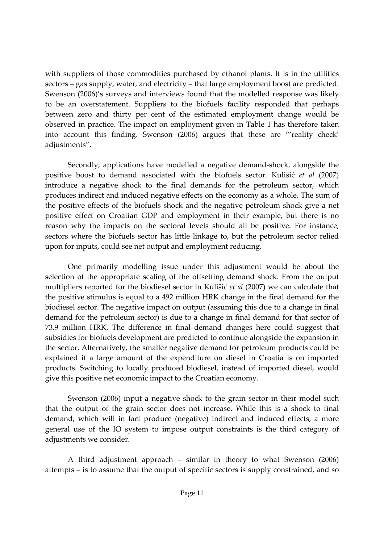with suppliers of those commodities purchased by ethanol plants. It is in the utilities sectors – gas supply, water, and electricity – that large employment boost are predicted. Swenson (2006)'s surveys and interviews found that the modelled response was likely to be an overstatement. Suppliers to the biofuels facility responded that perhaps between zero and thirty per cent of the estimated employment change would be observed in practice. The impact on employment given in Table 1 has therefore taken into account this finding. Swenson (2006) argues that these are "'reality check' adjustments".

Secondly, applications have modelled a negative demand‐shock, alongside the positive boost to demand associated with the biofuels sector. Kulišić *et al* (2007) introduce a negative shock to the final demands for the petroleum sector, which produces indirect and induced negative effects on the economy as a whole. The sum of the positive effects of the biofuels shock and the negative petroleum shock give a net positive effect on Croatian GDP and employment in their example, but there is no reason why the impacts on the sectoral levels should all be positive. For instance, sectors where the biofuels sector has little linkage to, but the petroleum sector relied upon for inputs, could see net output and employment reducing.

One primarily modelling issue under this adjustment would be about the selection of the appropriate scaling of the offsetting demand shock. From the output multipliers reported for the biodiesel sector in Kulišić *et al* (2007) we can calculate that the positive stimulus is equal to a 492 million HRK change in the final demand for the biodiesel sector. The negative impact on output (assuming this due to a change in final demand for the petroleum sector) is due to a change in final demand for that sector of 73.9 million HRK. The difference in final demand changes here could suggest that subsidies for biofuels development are predicted to continue alongside the expansion in the sector. Alternatively, the smaller negative demand for petroleum products could be explained if a large amount of the expenditure on diesel in Croatia is on imported products. Switching to locally produced biodiesel, instead of imported diesel, would give this positive net economic impact to the Croatian economy.

Swenson (2006) input a negative shock to the grain sector in their model such that the output of the grain sector does not increase. While this is a shock to final demand, which will in fact produce (negative) indirect and induced effects, a more general use of the IO system to impose output constraints is the third category of adjustments we consider.

A third adjustment approach – similar in theory to what Swenson (2006) attempts – is to assume that the output of specific sectors is supply constrained, and so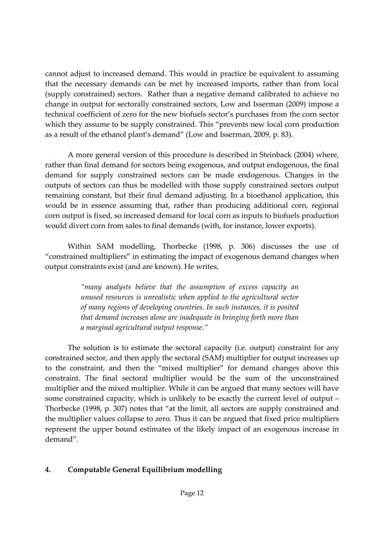cannot adjust to increased demand. This would in practice be equivalent to assuming that the necessary demands can be met by increased imports, rather than from local (supply constrained) sectors. Rather than a negative demand calibrated to achieve no change in output for sectorally constrained sectors, Low and Isserman (2009) impose a technical coefficient of zero for the new biofuels sector's purchases from the corn sector which they assume to be supply constrained. This "prevents new local corn production as a result of the ethanol plant's demand" (Low and Isserman, 2009, p. 83).

A more general version of this procedure is described in Steinback (2004) where, rather than final demand for sectors being exogenous, and output endogenous, the final demand for supply constrained sectors can be made endogenous. Changes in the outputs of sectors can thus be modelled with those supply constrained sectors output remaining constant, but their final demand adjusting. In a bioethanol application, this would be in essence assuming that, rather than producing additional corn, regional corn output is fixed, so increased demand for local corn as inputs to biofuels production would divert corn from sales to final demands (with, for instance, lower exports).

Within SAM modelling, Thorbecke (1998, p. 306) discusses the use of "constrained multipliers" in estimating the impact of exogenous demand changes when output constraints exist (and are known). He writes,

> *"many analysts believe that the assumption of excess capacity an unused resources is unrealistic when applied to the agricultural sector of many regions of developing countries. In such instances, it is posited that demand increases alone are inadequate in bringing forth more than a marginal agricultural output response."*

The solution is to estimate the sectoral capacity (i.e. output) constraint for any constrained sector, and then apply the sectoral (SAM) multiplier for output increases up to the constraint, and then the "mixed multiplier" for demand changes above this constraint. The final sectoral multiplier would be the sum of the unconstrained multiplier and the mixed multiplier. While it can be argued that many sectors will have some constrained capacity, which is unlikely to be exactly the current level of output – Thorbecke (1998, p. 307) notes that "at the limit, all sectors are supply constrained and the multiplier values collapse to zero. Thus it can be argued that fixed price multipliers represent the upper bound estimates of the likely impact of an exogenous increase in demand".

# **4. Computable General Equilibrium modelling**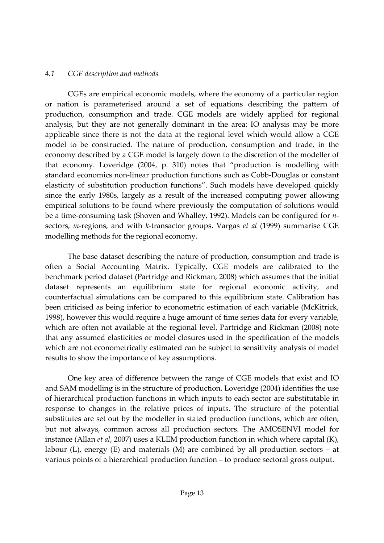### *4.1 CGE description and methods*

CGEs are empirical economic models, where the economy of a particular region or nation is parameterised around a set of equations describing the pattern of production, consumption and trade. CGE models are widely applied for regional analysis, but they are not generally dominant in the area: IO analysis may be more applicable since there is not the data at the regional level which would allow a CGE model to be constructed. The nature of production, consumption and trade, in the economy described by a CGE model is largely down to the discretion of the modeller of that economy. Loveridge (2004, p. 310) notes that "production is modelling with standard economics non‐linear production functions such as Cobb‐Douglas or constant elasticity of substitution production functions". Such models have developed quickly since the early 1980s, largely as a result of the increased computing power allowing empirical solutions to be found where previously the computation of solutions would be a time-consuming task (Shoven and Whalley, 1992). Models can be configured for *n*sectors, *m*-regions, and with *k*-transactor groups. Vargas *et al* (1999) summarise CGE modelling methods for the regional economy.

The base dataset describing the nature of production, consumption and trade is often a Social Accounting Matrix. Typically, CGE models are calibrated to the benchmark period dataset (Partridge and Rickman, 2008) which assumes that the initial dataset represents an equilibrium state for regional economic activity, and counterfactual simulations can be compared to this equilibrium state. Calibration has been criticised as being inferior to econometric estimation of each variable (McKitrick, 1998), however this would require a huge amount of time series data for every variable, which are often not available at the regional level. Partridge and Rickman (2008) note that any assumed elasticities or model closures used in the specification of the models which are not econometrically estimated can be subject to sensitivity analysis of model results to show the importance of key assumptions.

One key area of difference between the range of CGE models that exist and IO and SAM modelling is in the structure of production. Loveridge (2004) identifies the use of hierarchical production functions in which inputs to each sector are substitutable in response to changes in the relative prices of inputs. The structure of the potential substitutes are set out by the modeller in stated production functions, which are often, but not always, common across all production sectors. The AMOSENVI model for instance (Allan *et al*, 2007) uses a KLEM production function in which where capital (K), labour (L), energy (E) and materials (M) are combined by all production sectors – at various points of a hierarchical production function – to produce sectoral gross output.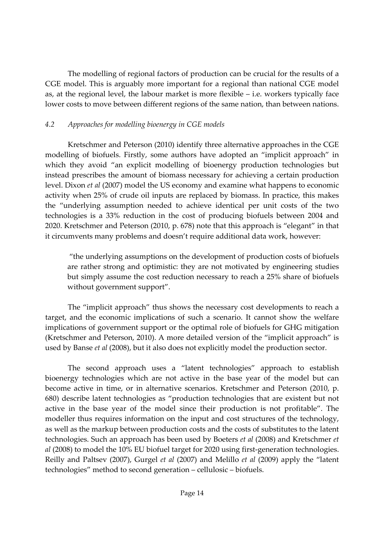The modelling of regional factors of production can be crucial for the results of a CGE model. This is arguably more important for a regional than national CGE model as, at the regional level, the labour market is more flexible – i.e. workers typically face lower costs to move between different regions of the same nation, than between nations.

# *4.2 Approaches for modelling bioenergy in CGE models*

Kretschmer and Peterson (2010) identify three alternative approaches in the CGE modelling of biofuels. Firstly, some authors have adopted an "implicit approach" in which they avoid "an explicit modelling of bioenergy production technologies but instead prescribes the amount of biomass necessary for achieving a certain production level. Dixon *et al* (2007) model the US economy and examine what happens to economic activity when 25% of crude oil inputs are replaced by biomass. In practice, this makes the "underlying assumption needed to achieve identical per unit costs of the two technologies is a 33% reduction in the cost of producing biofuels between 2004 and 2020. Kretschmer and Peterson (2010, p. 678) note that this approach is "elegant" in that it circumvents many problems and doesn't require additional data work, however:

"the underlying assumptions on the development of production costs of biofuels are rather strong and optimistic: they are not motivated by engineering studies but simply assume the cost reduction necessary to reach a 25% share of biofuels without government support".

The "implicit approach" thus shows the necessary cost developments to reach a target, and the economic implications of such a scenario. It cannot show the welfare implications of government support or the optimal role of biofuels for GHG mitigation (Kretschmer and Peterson, 2010). A more detailed version of the "implicit approach" is used by Banse *et al* (2008), but it also does not explicitly model the production sector.

The second approach uses a "latent technologies" approach to establish bioenergy technologies which are not active in the base year of the model but can become active in time, or in alternative scenarios. Kretschmer and Peterson (2010, p. 680) describe latent technologies as "production technologies that are existent but not active in the base year of the model since their production is not profitable". The modeller thus requires information on the input and cost structures of the technology, as well as the markup between production costs and the costs of substitutes to the latent technologies. Such an approach has been used by Boeters *et al* (2008) and Kretschmer *et al* (2008) to model the 10% EU biofuel target for 2020 using first‐generation technologies. Reilly and Paltsev (2007), Gurgel *et al* (2007) and Melillo *et al* (2009) apply the "latent technologies" method to second generation – cellulosic – biofuels.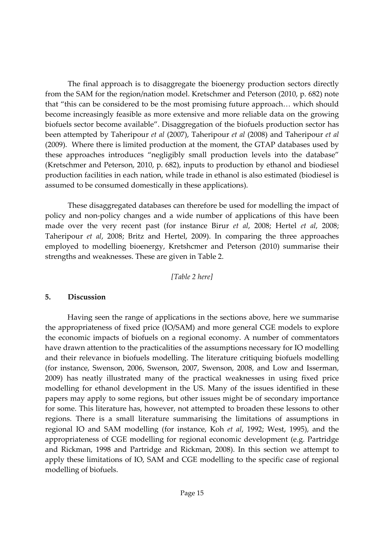The final approach is to disaggregate the bioenergy production sectors directly from the SAM for the region/nation model. Kretschmer and Peterson (2010, p. 682) note that "this can be considered to be the most promising future approach… which should become increasingly feasible as more extensive and more reliable data on the growing biofuels sector become available". Disaggregation of the biofuels production sector has been attempted by Taheripour *et al* (2007), Taheripour *et al* (2008) and Taheripour *et al* (2009). Where there is limited production at the moment, the GTAP databases used by these approaches introduces "negligibly small production levels into the database" (Kretschmer and Peterson, 2010, p. 682), inputs to production by ethanol and biodiesel production facilities in each nation, while trade in ethanol is also estimated (biodiesel is assumed to be consumed domestically in these applications).

These disaggregated databases can therefore be used for modelling the impact of policy and non‐policy changes and a wide number of applications of this have been made over the very recent past (for instance Birur *et al*, 2008; Hertel *et al*, 2008; Taheripour *et al*, 2008; Britz and Hertel, 2009). In comparing the three approaches employed to modelling bioenergy, Kretshcmer and Peterson (2010) summarise their strengths and weaknesses. These are given in Table 2.

#### *[Table 2 here]*

#### **5. Discussion**

Having seen the range of applications in the sections above, here we summarise the appropriateness of fixed price (IO/SAM) and more general CGE models to explore the economic impacts of biofuels on a regional economy. A number of commentators have drawn attention to the practicalities of the assumptions necessary for IO modelling and their relevance in biofuels modelling. The literature critiquing biofuels modelling (for instance, Swenson, 2006, Swenson, 2007, Swenson, 2008, and Low and Isserman, 2009) has neatly illustrated many of the practical weaknesses in using fixed price modelling for ethanol development in the US. Many of the issues identified in these papers may apply to some regions, but other issues might be of secondary importance for some. This literature has, however, not attempted to broaden these lessons to other regions. There is a small literature summarising the limitations of assumptions in regional IO and SAM modelling (for instance, Koh *et al*, 1992; West, 1995), and the appropriateness of CGE modelling for regional economic development (e.g. Partridge and Rickman, 1998 and Partridge and Rickman, 2008). In this section we attempt to apply these limitations of IO, SAM and CGE modelling to the specific case of regional modelling of biofuels.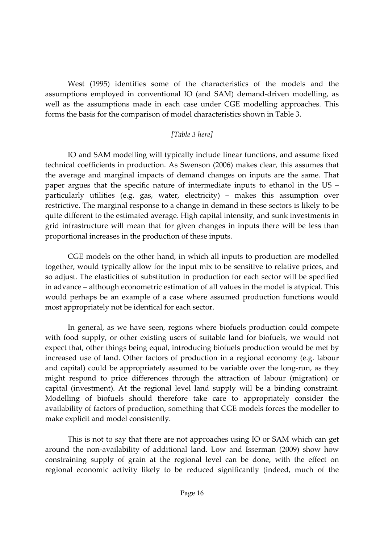West (1995) identifies some of the characteristics of the models and the assumptions employed in conventional IO (and SAM) demand‐driven modelling, as well as the assumptions made in each case under CGE modelling approaches. This forms the basis for the comparison of model characteristics shown in Table 3.

# *[Table 3 here]*

IO and SAM modelling will typically include linear functions, and assume fixed technical coefficients in production. As Swenson (2006) makes clear, this assumes that the average and marginal impacts of demand changes on inputs are the same. That paper argues that the specific nature of intermediate inputs to ethanol in the US – particularly utilities (e.g. gas, water, electricity) – makes this assumption over restrictive. The marginal response to a change in demand in these sectors is likely to be quite different to the estimated average. High capital intensity, and sunk investments in grid infrastructure will mean that for given changes in inputs there will be less than proportional increases in the production of these inputs.

CGE models on the other hand, in which all inputs to production are modelled together, would typically allow for the input mix to be sensitive to relative prices, and so adjust. The elasticities of substitution in production for each sector will be specified in advance – although econometric estimation of all values in the model is atypical. This would perhaps be an example of a case where assumed production functions would most appropriately not be identical for each sector.

In general, as we have seen, regions where biofuels production could compete with food supply, or other existing users of suitable land for biofuels, we would not expect that, other things being equal, introducing biofuels production would be met by increased use of land. Other factors of production in a regional economy (e.g. labour and capital) could be appropriately assumed to be variable over the long-run, as they might respond to price differences through the attraction of labour (migration) or capital (investment). At the regional level land supply will be a binding constraint. Modelling of biofuels should therefore take care to appropriately consider the availability of factors of production, something that CGE models forces the modeller to make explicit and model consistently.

This is not to say that there are not approaches using IO or SAM which can get around the non‐availability of additional land. Low and Isserman (2009) show how constraining supply of grain at the regional level can be done, with the effect on regional economic activity likely to be reduced significantly (indeed, much of the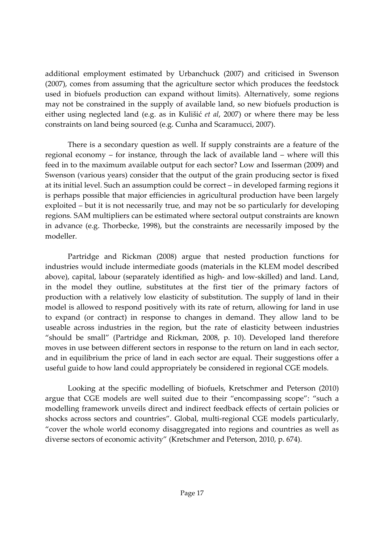additional employment estimated by Urbanchuck (2007) and criticised in Swenson (2007), comes from assuming that the agriculture sector which produces the feedstock used in biofuels production can expand without limits). Alternatively, some regions may not be constrained in the supply of available land, so new biofuels production is either using neglected land (e.g. as in Kulišić *et al*, 2007) or where there may be less constraints on land being sourced (e.g. Cunha and Scaramucci, 2007).

There is a secondary question as well. If supply constraints are a feature of the regional economy – for instance, through the lack of available land – where will this feed in to the maximum available output for each sector? Low and Isserman (2009) and Swenson (various years) consider that the output of the grain producing sector is fixed at its initial level. Such an assumption could be correct – in developed farming regions it is perhaps possible that major efficiencies in agricultural production have been largely exploited – but it is not necessarily true, and may not be so particularly for developing regions. SAM multipliers can be estimated where sectoral output constraints are known in advance (e.g. Thorbecke, 1998), but the constraints are necessarily imposed by the modeller.

Partridge and Rickman (2008) argue that nested production functions for industries would include intermediate goods (materials in the KLEM model described above), capital, labour (separately identified as high‐ and low‐skilled) and land. Land, in the model they outline, substitutes at the first tier of the primary factors of production with a relatively low elasticity of substitution. The supply of land in their model is allowed to respond positively with its rate of return, allowing for land in use to expand (or contract) in response to changes in demand. They allow land to be useable across industries in the region, but the rate of elasticity between industries "should be small" (Partridge and Rickman, 2008, p. 10). Developed land therefore moves in use between different sectors in response to the return on land in each sector, and in equilibrium the price of land in each sector are equal. Their suggestions offer a useful guide to how land could appropriately be considered in regional CGE models.

Looking at the specific modelling of biofuels, Kretschmer and Peterson (2010) argue that CGE models are well suited due to their "encompassing scope": "such a modelling framework unveils direct and indirect feedback effects of certain policies or shocks across sectors and countries". Global, multi‐regional CGE models particularly, "cover the whole world economy disaggregated into regions and countries as well as diverse sectors of economic activity" (Kretschmer and Peterson, 2010, p. 674).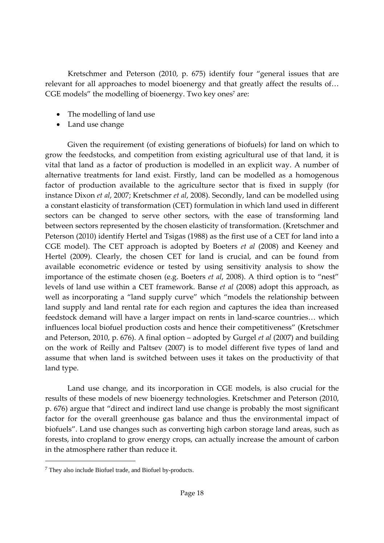Kretschmer and Peterson (2010, p. 675) identify four "general issues that are relevant for all approaches to model bioenergy and that greatly affect the results of… CGE models" the modelling of bioenergy. Two key ones<sup>7</sup> are:

- The modelling of land use
- Land use change

Given the requirement (of existing generations of biofuels) for land on which to grow the feedstocks, and competition from existing agricultural use of that land, it is vital that land as a factor of production is modelled in an explicit way. A number of alternative treatments for land exist. Firstly, land can be modelled as a homogenous factor of production available to the agriculture sector that is fixed in supply (for instance Dixon *et al*, 2007; Kretschmer *et al*, 2008). Secondly, land can be modelled using a constant elasticity of transformation (CET) formulation in which land used in different sectors can be changed to serve other sectors, with the ease of transforming land between sectors represented by the chosen elasticity of transformation. (Kretschmer and Peterson (2010) identify Hertel and Tsigas (1988) as the first use of a CET for land into a CGE model). The CET approach is adopted by Boeters *et al* (2008) and Keeney and Hertel (2009). Clearly, the chosen CET for land is crucial, and can be found from available econometric evidence or tested by using sensitivity analysis to show the importance of the estimate chosen (e.g. Boeters *et al*, 2008). A third option is to "nest" levels of land use within a CET framework. Banse *et al* (2008) adopt this approach, as well as incorporating a "land supply curve" which "models the relationship between land supply and land rental rate for each region and captures the idea than increased feedstock demand will have a larger impact on rents in land‐scarce countries… which influences local biofuel production costs and hence their competitiveness" (Kretschmer and Peterson, 2010, p. 676). A final option – adopted by Gurgel *et al* (2007) and building on the work of Reilly and Paltsev (2007) is to model different five types of land and assume that when land is switched between uses it takes on the productivity of that land type.

Land use change, and its incorporation in CGE models, is also crucial for the results of these models of new bioenergy technologies. Kretschmer and Peterson (2010, p. 676) argue that "direct and indirect land use change is probably the most significant factor for the overall greenhouse gas balance and thus the environmental impact of biofuels". Land use changes such as converting high carbon storage land areas, such as forests, into cropland to grow energy crops, can actually increase the amount of carbon in the atmosphere rather than reduce it.

<sup>7</sup> They also include Biofuel trade, and Biofuel by-products.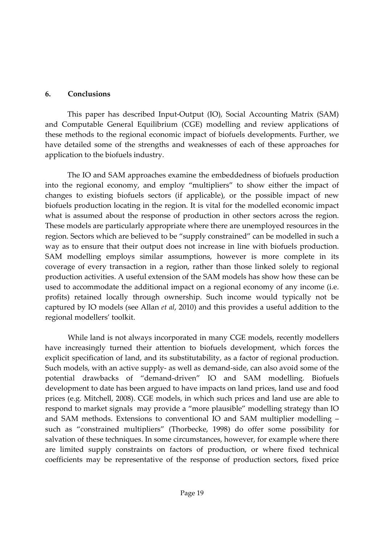#### **6. Conclusions**

This paper has described Input‐Output (IO), Social Accounting Matrix (SAM) and Computable General Equilibrium (CGE) modelling and review applications of these methods to the regional economic impact of biofuels developments. Further, we have detailed some of the strengths and weaknesses of each of these approaches for application to the biofuels industry.

The IO and SAM approaches examine the embeddedness of biofuels production into the regional economy, and employ "multipliers" to show either the impact of changes to existing biofuels sectors (if applicable), or the possible impact of new biofuels production locating in the region. It is vital for the modelled economic impact what is assumed about the response of production in other sectors across the region. These models are particularly appropriate where there are unemployed resources in the region. Sectors which are believed to be "supply constrained" can be modelled in such a way as to ensure that their output does not increase in line with biofuels production. SAM modelling employs similar assumptions, however is more complete in its coverage of every transaction in a region, rather than those linked solely to regional production activities. A useful extension of the SAM models has show how these can be used to accommodate the additional impact on a regional economy of any income (i.e. profits) retained locally through ownership. Such income would typically not be captured by IO models (see Allan *et al*, 2010) and this provides a useful addition to the regional modellers' toolkit.

While land is not always incorporated in many CGE models, recently modellers have increasingly turned their attention to biofuels development, which forces the explicit specification of land, and its substitutability, as a factor of regional production. Such models, with an active supply‐ as well as demand‐side, can also avoid some of the potential drawbacks of "demand‐driven" IO and SAM modelling. Biofuels development to date has been argued to have impacts on land prices, land use and food prices (e.g. Mitchell, 2008). CGE models, in which such prices and land use are able to respond to market signals may provide a "more plausible" modelling strategy than IO and SAM methods. Extensions to conventional IO and SAM multiplier modelling – such as "constrained multipliers" (Thorbecke, 1998) do offer some possibility for salvation of these techniques. In some circumstances, however, for example where there are limited supply constraints on factors of production, or where fixed technical coefficients may be representative of the response of production sectors, fixed price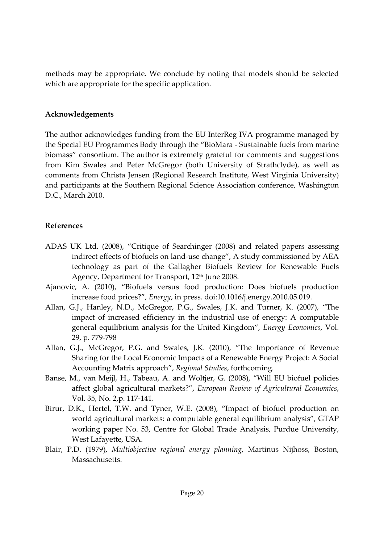methods may be appropriate. We conclude by noting that models should be selected which are appropriate for the specific application.

### **Acknowledgements**

The author acknowledges funding from the EU InterReg IVA programme managed by the Special EU Programmes Body through the "BioMara ‐ Sustainable fuels from marine biomass" consortium. The author is extremely grateful for comments and suggestions from Kim Swales and Peter McGregor (both University of Strathclyde), as well as comments from Christa Jensen (Regional Research Institute, West Virginia University) and participants at the Southern Regional Science Association conference, Washington D.C., March 2010.

# **References**

- ADAS UK Ltd. (2008), "Critique of Searchinger (2008) and related papers assessing indirect effects of biofuels on land‐use change", A study commissioned by AEA technology as part of the Gallagher Biofuels Review for Renewable Fuels Agency, Department for Transport, 12<sup>th</sup> June 2008.
- Ajanovic, A. (2010), "Biofuels versus food production: Does biofuels production increase food prices?", *Energy*, in press. doi:10.1016/j.energy.2010.05.019.
- Allan, G.J., Hanley, N.D., McGregor, P.G., Swales, J.K. and Turner, K. (2007), "The impact of increased efficiency in the industrial use of energy: A computable general equilibrium analysis for the United Kingdom", *Energy Economics*, Vol. 29, p. 779‐798
- Allan, G.J., McGregor, P.G. and Swales, J.K. (2010), "The Importance of Revenue Sharing for the Local Economic Impacts of a Renewable Energy Project: A Social Accounting Matrix approach", *Regional Studies*, forthcoming*.*
- Banse, M., van Meijl, H., Tabeau, A. and Woltjer, G. (2008), "Will EU biofuel policies affect global agricultural markets?", *European Review of Agricultural Economics*, Vol. 35, No. 2,p. 117‐141.
- Birur, D.K., Hertel, T.W. and Tyner, W.E. (2008), "Impact of biofuel production on world agricultural markets: a computable general equilibrium analysis", GTAP working paper No. 53, Centre for Global Trade Analysis, Purdue University, West Lafayette, USA.
- Blair, P.D. (1979), *Multiobjective regional energy planning*, Martinus Nijhoss, Boston, Massachusetts.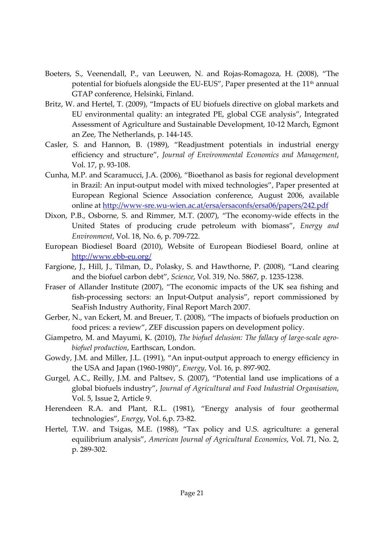- Boeters, S., Veenendall, P., van Leeuwen, N. and Rojas‐Romagoza, H. (2008), "The potential for biofuels alongside the EU-EUS", Paper presented at the 11<sup>th</sup> annual GTAP conference, Helsinki, Finland.
- Britz, W. and Hertel, T. (2009), "Impacts of EU biofuels directive on global markets and EU environmental quality: an integrated PE, global CGE analysis", Integrated Assessment of Agriculture and Sustainable Development, 10‐12 March, Egmont an Zee, The Netherlands, p. 144‐145.
- Casler, S. and Hannon, B. (1989), "Readjustment potentials in industrial energy efficiency and structure", *Journal of Environmental Economics and Management*, Vol. 17, p. 93‐108.
- Cunha, M.P. and Scaramucci, J.A. (2006), "Bioethanol as basis for regional development in Brazil: An input‐output model with mixed technologies", Paper presented at European Regional Science Association conference, August 2006, available online at http://www‐sre.wu‐wien.ac.at/ersa/ersaconfs/ersa06/papers/242.pdf
- Dixon, P.B., Osborne, S. and Rimmer, M.T. (2007), "The economy‐wide effects in the United States of producing crude petroleum with biomass", *Energy and Environment*, Vol. 18, No. 6, p. 709‐722.
- European Biodiesel Board (2010), Website of European Biodiesel Board, online at http://www.ebb‐eu.org/
- Fargione, J., Hill, J., Tilman, D., Polasky, S. and Hawthorne, P. (2008), "Land clearing and the biofuel carbon debt", *Science*, Vol. 319, No. 5867, p. 1235‐1238.
- Fraser of Allander Institute (2007), "The economic impacts of the UK sea fishing and fish-processing sectors: an Input-Output analysis", report commissioned by SeaFish Industry Authority, Final Report March 2007.
- Gerber, N., van Eckert, M. and Breuer, T. (2008), "The impacts of biofuels production on food prices: a review", ZEF discussion papers on development policy.
- Giampetro, M. and Mayumi, K. (2010), *The biofuel delusion: The fallacy of large‐scale agro‐ biofuel production*, Earthscan, London.
- Gowdy, J.M. and Miller, J.L. (1991), "An input‐output approach to energy efficiency in the USA and Japan (1960‐1980)", *Energy*, Vol. 16, p. 897‐902.
- Gurgel, A.C., Reilly, J.M. and Paltsev, S. (2007), "Potential land use implications of a global biofuels industry", *Journal of Agricultural and Food Industrial Organisation*, Vol. 5, Issue 2, Article 9.
- Herendeen R.A. and Plant, R.L. (1981), "Energy analysis of four geothermal technologies", *Energy*, Vol. 6,p. 73‐82.
- Hertel, T.W. and Tsigas, M.E. (1988), "Tax policy and U.S. agriculture: a general equilibrium analysis", *American Journal of Agricultural Economics*, Vol. 71, No. 2, p. 289‐302.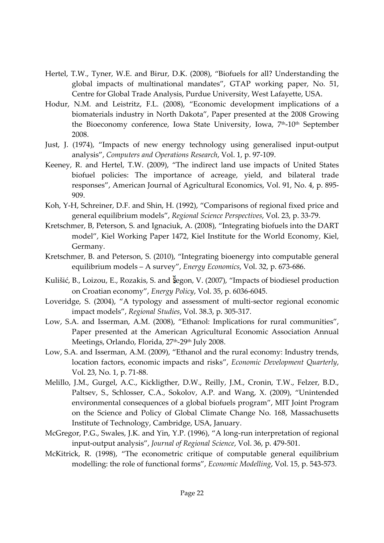- Hertel, T.W., Tyner, W.E. and Birur, D.K. (2008), "Biofuels for all? Understanding the global impacts of multinational mandates", GTAP working paper, No. 51, Centre for Global Trade Analysis, Purdue University, West Lafayette, USA.
- Hodur, N.M. and Leistritz, F.L. (2008), "Economic development implications of a biomaterials industry in North Dakota", Paper presented at the 2008 Growing the Bioeconomy conference, Iowa State University, Iowa, 7<sup>th</sup>-10<sup>th</sup> September 2008.
- Just, J. (1974), "Impacts of new energy technology using generalised input‐output analysis", *Computers and Operations Research*, Vol. 1, p. 97‐109.
- Keeney, R. and Hertel, T.W. (2009), "The indirect land use impacts of United States biofuel policies: The importance of acreage, yield, and bilateral trade responses", American Journal of Agricultural Economics, Vol. 91, No. 4, p. 895‐ 909.
- Koh, Y‐H, Schreiner, D.F. and Shin, H. (1992), "Comparisons of regional fixed price and general equilibrium models", *Regional Science Perspectives*, Vol. 23, p. 33‐79.
- Kretschmer, B, Peterson, S. and Ignaciuk, A. (2008), "Integrating biofuels into the DART model", Kiel Working Paper 1472, Kiel Institute for the World Economy, Kiel, Germany.
- Kretschmer, B. and Peterson, S. (2010), "Integrating bioenergy into computable general equilibrium models – A survey", *Energy Economics*, Vol. 32, p. 673‐686.
- Kulišić, B., Loizou, E., Rozakis, S. and Segon, V. (2007), "Impacts of biodiesel production on Croatian economy", *Energy Policy*, Vol. 35, p. 6036‐6045.
- Loveridge, S. (2004), "A typology and assessment of multi-sector regional economic impact models", *Regional Studies*, Vol. 38.3, p. 305‐317.
- Low, S.A. and Isserman, A.M. (2008), "Ethanol: Implications for rural communities", Paper presented at the American Agricultural Economic Association Annual Meetings, Orlando, Florida, 27<sup>th</sup>-29<sup>th</sup> July 2008.
- Low, S.A. and Isserman, A.M. (2009), "Ethanol and the rural economy: Industry trends, location factors, economic impacts and risks", *Economic Development Quarterly*, Vol. 23, No. 1, p. 71‐88.
- Melillo, J.M., Gurgel, A.C., Kickligther, D.W., Reilly, J.M., Cronin, T.W., Felzer, B.D., Paltsev, S., Schlosser, C.A., Sokolov, A.P. and Wang, X. (2009), "Unintended environmental consequences of a global biofuels program", MIT Joint Program on the Science and Policy of Global Climate Change No. 168, Massachusetts Institute of Technology, Cambridge, USA, January.
- McGregor, P.G., Swales, J.K. and Yin, Y.P. (1996), "A long-run interpretation of regional input‐output analysis", *Journal of Regional Science*, Vol. 36, p. 479‐501.
- McKitrick, R. (1998), "The econometric critique of computable general equilibrium modelling: the role of functional forms", *Economic Modelling*, Vol. 15, p. 543‐573.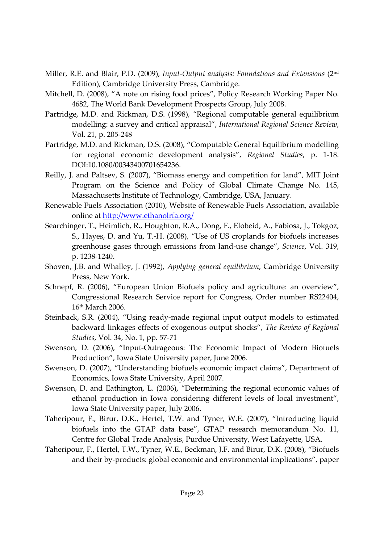- Miller, R.E. and Blair, P.D. (2009), *Input‐Output analysis: Foundations and Extensions* (2nd Edition), Cambridge University Press, Cambridge.
- Mitchell, D. (2008), "A note on rising food prices", Policy Research Working Paper No. 4682, The World Bank Development Prospects Group, July 2008.
- Partridge, M.D. and Rickman, D.S. (1998), "Regional computable general equilibrium modelling: a survey and critical appraisal", *International Regional Science Review*, Vol. 21, p. 205‐248
- Partridge, M.D. and Rickman, D.S. (2008), "Computable General Equilibrium modelling for regional economic development analysis", *Regional Studies*, p. 1‐18. DOI:10.1080/00343400701654236.
- Reilly, J. and Paltsev, S. (2007), "Biomass energy and competition for land", MIT Joint Program on the Science and Policy of Global Climate Change No. 145, Massachusetts Institute of Technology, Cambridge, USA, January.
- Renewable Fuels Association (2010), Website of Renewable Fuels Association, available online at http://www.ethanolrfa.org/
- Searchinger, T., Heimlich, R., Houghton, R.A., Dong, F., Elobeid, A., Fabiosa, J., Tokgoz, S., Hayes, D. and Yu, T.‐H. (2008), "Use of US croplands for biofuels increases greenhouse gases through emissions from land‐use change", *Science*, Vol. 319, p. 1238‐1240.
- Shoven, J.B. and Whalley, J. (1992), *Applying general equilibrium*, Cambridge University Press, New York.
- Schnepf, R. (2006), "European Union Biofuels policy and agriculture: an overview", Congressional Research Service report for Congress, Order number RS22404, 16th March 2006.
- Steinback, S.R. (2004), "Using ready‐made regional input output models to estimated backward linkages effects of exogenous output shocks", *The Review of Regional Studies*, Vol. 34, No. 1, pp. 57‐71
- Swenson, D. (2006), "Input‐Outrageous: The Economic Impact of Modern Biofuels Production", Iowa State University paper, June 2006.
- Swenson, D. (2007), "Understanding biofuels economic impact claims", Department of Economics, Iowa State University, April 2007.
- Swenson, D. and Eathington, L. (2006), "Determining the regional economic values of ethanol production in Iowa considering different levels of local investment", Iowa State University paper, July 2006.
- Taheripour, F., Birur, D.K., Hertel, T.W. and Tyner, W.E. (2007), "Introducing liquid biofuels into the GTAP data base", GTAP research memorandum No. 11, Centre for Global Trade Analysis, Purdue University, West Lafayette, USA.
- Taheripour, F., Hertel, T.W., Tyner, W.E., Beckman, J.F. and Birur, D.K. (2008), "Biofuels and their by‐products: global economic and environmental implications", paper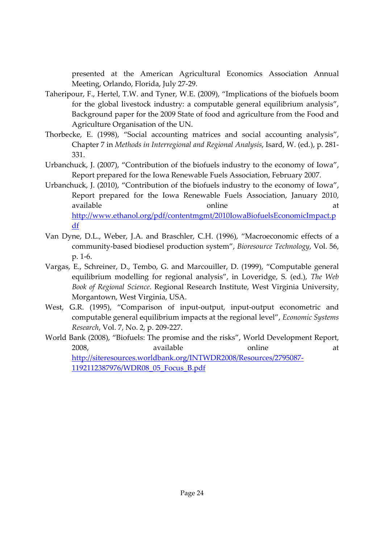presented at the American Agricultural Economics Association Annual Meeting, Orlando, Florida, July 27‐29.

- Taheripour, F., Hertel, T.W. and Tyner, W.E. (2009), "Implications of the biofuels boom for the global livestock industry: a computable general equilibrium analysis", Background paper for the 2009 State of food and agriculture from the Food and Agriculture Organisation of the UN.
- Thorbecke, E. (1998), "Social accounting matrices and social accounting analysis", Chapter 7 in *Methods in Interregional and Regional Analysis*, Isard, W. (ed.), p. 281‐ 331.
- Urbanchuck, J. (2007), "Contribution of the biofuels industry to the economy of Iowa", Report prepared for the Iowa Renewable Fuels Association, February 2007.
- Urbanchuck, J. (2010), "Contribution of the biofuels industry to the economy of Iowa", Report prepared for the Iowa Renewable Fuels Association, January 2010, available at the condine online at  $\alpha$ http://www.ethanol.org/pdf/contentmgmt/2010IowaBiofuelsEconomicImpact.p df
- Van Dyne, D.L., Weber, J.A. and Braschler, C.H. (1996), "Macroeconomic effects of a community‐based biodiesel production system", *Bioresource Technology*, Vol. 56, p. 1‐6.
- Vargas, E., Schreiner, D., Tembo, G. and Marcouiller, D. (1999), "Computable general equilibrium modelling for regional analysis", in Loveridge, S. (ed.), *The Web Book of Regional Science*. Regional Research Institute, West Virginia University, Morgantown, West Virginia, USA.
- West, G.R. (1995), "Comparison of input-output, input-output econometric and computable general equilibrium impacts at the regional level", *Economic Systems Research*, Vol. 7, No. 2, p. 209‐227.
- World Bank (2008), "Biofuels: The promise and the risks", World Development Report, 2008, available online at http://siteresources.worldbank.org/INTWDR2008/Resources/2795087‐ 1192112387976/WDR08\_05\_Focus\_B.pdf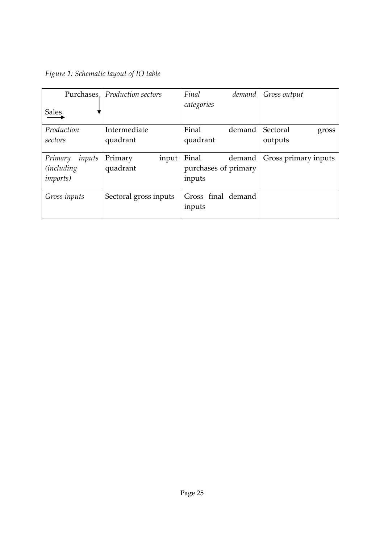| Figure 1: Schematic layout of IO table |  |
|----------------------------------------|--|
|----------------------------------------|--|

| Purchases.         | Production sectors    | Final<br>demand      | Gross output         |
|--------------------|-----------------------|----------------------|----------------------|
| <b>Sales</b>       |                       | categories           |                      |
| Production         | Intermediate          | Final<br>demand      | Sectoral<br>gross    |
| sectors            | quadrant              | quadrant             | outputs              |
|                    |                       |                      |                      |
| inputs<br>Primary  | Primary<br>input      | Final<br>demand      | Gross primary inputs |
| <i>(including)</i> | quadrant              | purchases of primary |                      |
| <i>imports</i> )   |                       | inputs               |                      |
|                    |                       |                      |                      |
| Gross inputs       | Sectoral gross inputs | Gross final demand   |                      |
|                    |                       | inputs               |                      |
|                    |                       |                      |                      |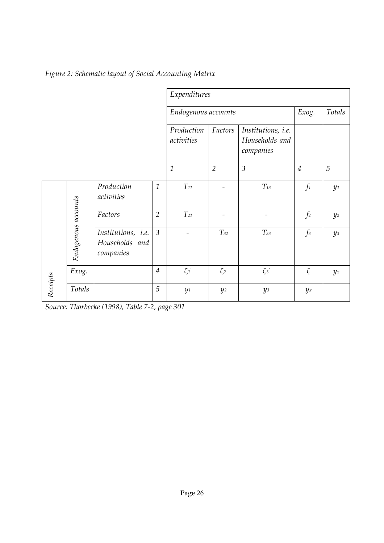|          |                     |                                                   | Expenditures   |                          |                |                                                   |                |       |
|----------|---------------------|---------------------------------------------------|----------------|--------------------------|----------------|---------------------------------------------------|----------------|-------|
|          | Endogenous accounts |                                                   |                |                          | Exog.          | Totals                                            |                |       |
|          |                     |                                                   |                | Production<br>activities | Factors        | Institutions, i.e.<br>Households and<br>companies |                |       |
|          |                     |                                                   |                | $\mathbf{1}$             | $\overline{2}$ | $\mathfrak{Z}$                                    | $\overline{4}$ | 5     |
|          |                     | Production<br>activities                          | $\mathbf{1}$   | $T_{11}$                 |                | $T_{13}$                                          | $f_1$          | $y_1$ |
|          |                     | Factors                                           | $\overline{2}$ | $T_{21}$                 |                |                                                   | f <sub>2</sub> | $y_2$ |
|          | Endogenous accounts | Institutions, i.e.<br>Households and<br>companies | $\overline{3}$ |                          | $T_{32}$       | $T_{33}$                                          | $f_3$          | $y_3$ |
|          | Exog.               |                                                   | $\overline{4}$ | $\zeta_1'$               | $\zeta_2$      | $\zeta_3$                                         | $\zeta$        | $y_x$ |
| Receipts | Totals              |                                                   | 5              | $y_1$                    | $y_2$          | $y_3$                                             | $y_x$          |       |

*Figure 2: Schematic layout of Social Accounting Matrix*

*Source: Thorbecke (1998), Table 7‐2, page 301*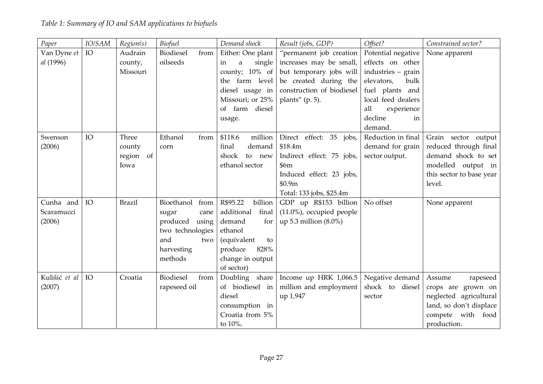| Paper         | IO/SAM | Region(s)     | Biofuel            | Demand shock        | Result (jobs, GDP)           | Offset?            | Constrained sector?      |
|---------------|--------|---------------|--------------------|---------------------|------------------------------|--------------------|--------------------------|
| Van Dyne et   | IO     | Audrain       | Biodiesel<br>from  | Either: One plant   | "permanent job creation      | Potential negative | None apparent            |
| al (1996)     |        | county,       | oilseeds           | single<br>in<br>a   | increases may be small,      | effects on other   |                          |
|               |        | Missouri      |                    | county; 10% of      | but temporary jobs will      | industries - grain |                          |
|               |        |               |                    | the farm level      | be created during the        | elevators,<br>bulk |                          |
|               |        |               |                    | diesel usage in     | construction of biodiesel    | fuel plants and    |                          |
|               |        |               |                    | Missouri; or 25%    | plants" $(p. 5)$ .           | local feed dealers |                          |
|               |        |               |                    | of farm diesel      |                              | all<br>experience  |                          |
|               |        |               |                    | usage.              |                              | decline<br>in      |                          |
|               |        |               |                    |                     |                              | demand.            |                          |
| Swenson       | IO     | Three         | Ethanol<br>from    | \$118.6<br>million  | Direct effect: 35 jobs,      | Reduction in final | Grain sector output      |
| (2006)        |        | county        | corn               | demand<br>final     | \$18.4m                      | demand for grain   | reduced through final    |
|               |        | region of     |                    | shock<br>to new     | Indirect effect: 75 jobs,    | sector output.     | demand shock to set      |
|               |        | Iowa          |                    | ethanol sector      | \$6m                         |                    | modelled output in       |
|               |        |               |                    |                     | Induced effect: 23 jobs,     |                    | this sector to base year |
|               |        |               |                    |                     | \$0.9m                       |                    | level.                   |
|               |        |               |                    |                     | Total: 133 jobs, \$25.4m     |                    |                          |
| Cunha and     | IO     | <b>Brazil</b> | Bioethanol<br>from | R\$95.22<br>billion | GDP up R\$153 billion        | No offset          | None apparent            |
| Scaramucci    |        |               | sugar<br>cane      | final<br>additional | $(11.0\%)$ , occupied people |                    |                          |
| (2006)        |        |               | produced<br>using  | demand<br>for       | up 5.3 million $(8.0\%)$     |                    |                          |
|               |        |               | two technologies   | ethanol             |                              |                    |                          |
|               |        |               | and<br>two         | (equivalent<br>to   |                              |                    |                          |
|               |        |               | harvesting         | produce<br>828%     |                              |                    |                          |
|               |        |               | methods            | change in output    |                              |                    |                          |
|               |        |               |                    | of sector)          |                              |                    |                          |
| Kulišić et al | IO     | Croatia       | Biodiesel<br>from  | Doubling share      | Income up HRK 1,066.5        | Negative demand    | Assume<br>rapeseed       |
| (2007)        |        |               | rapeseed oil       | of biodiesel in     | million and employment       | shock to diesel    | crops are grown on       |
|               |        |               |                    | diesel              | up 1,947                     | sector             | neglected agricultural   |
|               |        |               |                    | consumption in      |                              |                    | land, so don't displace  |
|               |        |               |                    | Croatia from 5%     |                              |                    | compete with food        |
|               |        |               |                    | to 10%.             |                              |                    | production.              |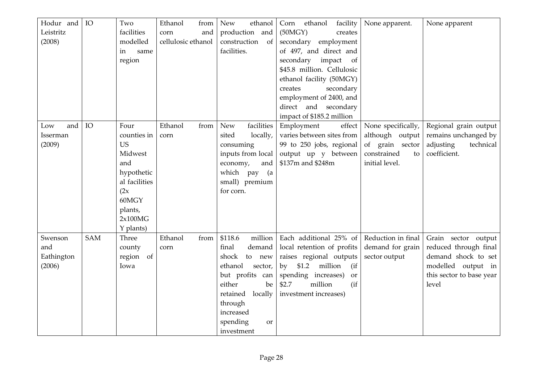| Hodur and<br>Leistritz<br>(2008)       | IO         | Two<br>facilities<br>modelled<br>in<br>same<br>region                                                                                 | Ethanol<br>from<br>and<br>corn<br>cellulosic ethanol | <b>New</b><br>ethanol<br>production and<br>construction<br>of<br>facilities.                                                                                                                     | ethanol<br>facility<br>Corn<br>(50MGY)<br>creates<br>secondary employment<br>of 497, and direct and<br>secondary<br>impact of<br>\$45.8 million. Cellulosic<br>ethanol facility (50MGY)<br>secondary<br>creates<br>employment of 2400, and<br>direct and secondary<br>impact of \$185.2 million | None apparent.                                                                                  | None apparent                                                                                                                  |
|----------------------------------------|------------|---------------------------------------------------------------------------------------------------------------------------------------|------------------------------------------------------|--------------------------------------------------------------------------------------------------------------------------------------------------------------------------------------------------|-------------------------------------------------------------------------------------------------------------------------------------------------------------------------------------------------------------------------------------------------------------------------------------------------|-------------------------------------------------------------------------------------------------|--------------------------------------------------------------------------------------------------------------------------------|
| and<br>Low<br>Isserman<br>(2009)       | IO         | Four<br>counties in<br><b>US</b><br>Midwest<br>and<br>hypothetic<br>al facilities<br>(2x)<br>60MGY<br>plants,<br>2x100MG<br>Y plants) | Ethanol<br>from<br>corn                              | facilities<br><b>New</b><br>sited<br>locally,<br>consuming<br>inputs from local<br>economy,<br>and<br>which pay<br>(a<br>small) premium<br>for corn.                                             | Employment<br>effect<br>varies between sites from<br>99 to 250 jobs, regional<br>output up y between<br>\$137m and \$248m                                                                                                                                                                       | None specifically,<br>although output<br>of grain sector<br>constrained<br>to<br>initial level. | Regional grain output<br>remains unchanged by<br>technical<br>adjusting<br>coefficient.                                        |
| Swenson<br>and<br>Eathington<br>(2006) | <b>SAM</b> | Three<br>county<br>region of<br>Iowa                                                                                                  | Ethanol<br>from<br>corn                              | \$118.6<br>million<br>demand<br>final<br>shock<br>to new<br>ethanol<br>sector,<br>but profits can<br>either<br>be<br>locally<br>retained<br>through<br>increased<br>spending<br>or<br>investment | Each additional 25% of<br>local retention of profits<br>raises regional outputs<br>million<br>\$1.2<br>(i f)<br>by<br>spending increases)<br>or<br>\$2.7<br>million<br>(i f)<br>investment increases)                                                                                           | Reduction in final<br>demand for grain<br>sector output                                         | Grain sector output<br>reduced through final<br>demand shock to set<br>modelled output in<br>this sector to base year<br>level |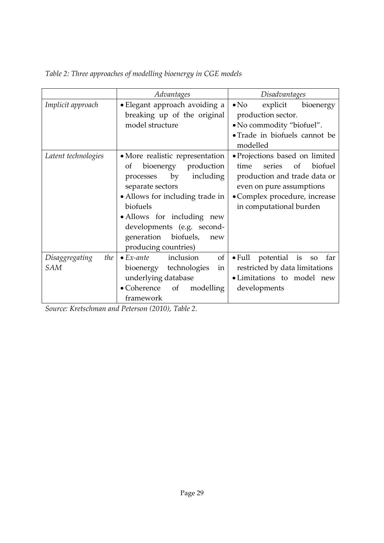|                              | Advantages                                                                                                                                                                                                                                                                             | Disadvantages                                                                                                                                                                             |
|------------------------------|----------------------------------------------------------------------------------------------------------------------------------------------------------------------------------------------------------------------------------------------------------------------------------------|-------------------------------------------------------------------------------------------------------------------------------------------------------------------------------------------|
| Implicit approach            | · Elegant approach avoiding a<br>breaking up of the original<br>model structure                                                                                                                                                                                                        | explicit<br>$\bullet$ No<br>bioenergy<br>production sector.<br>• No commodity "biofuel".<br>• Trade in biofuels cannot be<br>modelled                                                     |
| Latent technologies          | • More realistic representation<br>bioenergy production<br>Οf<br>by<br>including<br>processes<br>separate sectors<br>• Allows for including trade in<br>biofuels<br>• Allows for including new<br>developments (e.g. second-<br>generation<br>biofuels,<br>new<br>producing countries) | • Projections based on limited<br>biofuel<br>time<br>series<br>of<br>production and trade data or<br>even on pure assumptions<br>• Complex procedure, increase<br>in computational burden |
| the<br>Disaggregating<br>SAM | of<br>inclusion<br>$\bullet$ Ex-ante<br>bioenergy technologies<br>in<br>underlying database<br>• Coherence of<br>modelling<br>framework                                                                                                                                                | $\bullet$ Full<br>potential is<br>far<br>${\bf SO}$<br>restricted by data limitations<br>· Limitations to model new<br>developments                                                       |

*Table 2: Three approaches of modelling bioenergy in CGE models*

*Source: Kretschman and Peterson (2010), Table 2.*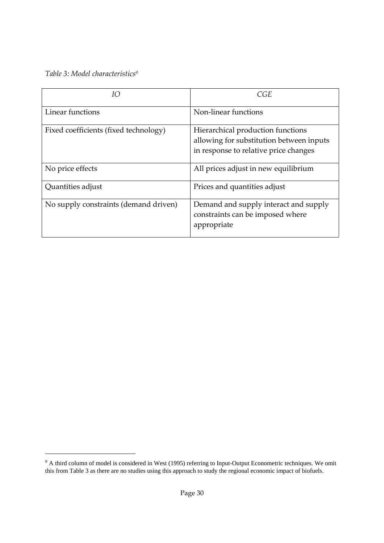*Table 3: Model characteristics9*

| IΟ                                    | CGE                                                                                                                    |
|---------------------------------------|------------------------------------------------------------------------------------------------------------------------|
| Linear functions                      | Non-linear functions                                                                                                   |
| Fixed coefficients (fixed technology) | Hierarchical production functions<br>allowing for substitution between inputs<br>in response to relative price changes |
| No price effects                      | All prices adjust in new equilibrium                                                                                   |
| Quantities adjust                     | Prices and quantities adjust                                                                                           |
| No supply constraints (demand driven) | Demand and supply interact and supply<br>constraints can be imposed where<br>appropriate                               |

 $9A$  third column of model is considered in West (1995) referring to Input-Output Econometric techniques. We omit this from Table 3 as there are no studies using this approach to study the regional economic impact of biofuels.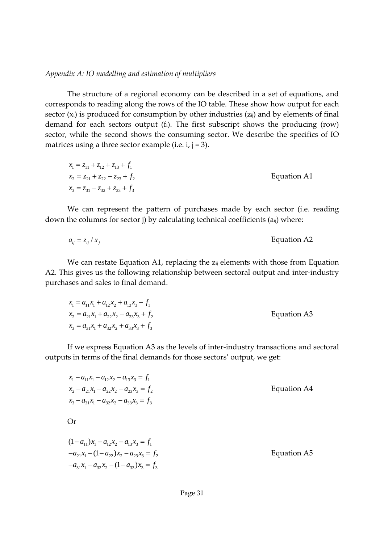*Appendix A: IO modelling and estimation of multipliers*

The structure of a regional economy can be described in a set of equations, and corresponds to reading along the rows of the IO table. These show how output for each sector  $(x_i)$  is produced for consumption by other industries  $(z_{ij})$  and by elements of final demand for each sectors output (fi). The first subscript shows the producing (row) sector, while the second shows the consuming sector. We describe the specifics of IO matrices using a three sector example (i.e.  $i, j = 3$ ).

| $x_1 = z_{11} + z_{12} + z_{13} + f_1$ |             |
|----------------------------------------|-------------|
| $x_2 = z_{21} + z_{22} + z_{23} + f_2$ | Equation A1 |
| $x_3 = z_{31} + z_{32} + z_{33} + f_3$ |             |

We can represent the pattern of purchases made by each sector (i.e. reading down the columns for sector j) by calculating technical coefficients (aij) where:

$$
a_{ij} = z_{ij} / x_j
$$
 Equation A2

We can restate Equation A1, replacing the  $z_{ij}$  elements with those from Equation A2. This gives us the following relationship between sectoral output and inter-industry purchases and sales to final demand.

| $x_1 = a_{11}x_1 + a_{12}x_2 + a_{13}x_3 + f_1$ |             |
|-------------------------------------------------|-------------|
| $x_2 = a_{21}x_1 + a_{22}x_2 + a_{23}x_3 + f_2$ | Equation A3 |
| $x_3 = a_{31}x_1 + a_{32}x_2 + a_{33}x_3 + f_3$ |             |

If we express Equation A3 as the levels of inter-industry transactions and sectoral outputs in terms of the final demands for those sectors' output, we get:

| $x_1 - a_{11}x_1 - a_{12}x_2 - a_{13}x_3 = f_1$ |             |
|-------------------------------------------------|-------------|
| $x_2 - a_{21}x_1 - a_{22}x_2 - a_{23}x_3 = f_2$ | Equation A4 |
| $x_3 - a_{31}x_1 - a_{32}x_2 - a_{33}x_3 = f_3$ |             |

Or

$$
(1 - a_{11})x_1 - a_{12}x_2 - a_{13}x_3 = f_1
$$
  
\n
$$
-a_{21}x_1 - (1 - a_{22})x_2 - a_{23}x_3 = f_2
$$
  
\n
$$
-a_{31}x_1 - a_{32}x_2 - (1 - a_{33})x_3 = f_3
$$
 Equation A5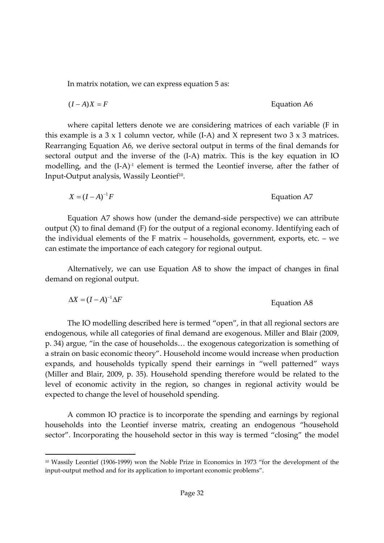In matrix notation, we can express equation 5 as:

$$
(I - A)X = F
$$
 Equation A6

where capital letters denote we are considering matrices of each variable (F in this example is a  $3 \times 1$  column vector, while (I-A) and X represent two  $3 \times 3$  matrices. Rearranging Equation A6, we derive sectoral output in terms of the final demands for sectoral output and the inverse of the (I-A) matrix. This is the key equation in IO modelling, and the  $(I-A)^{-1}$  element is termed the Leontief inverse, after the father of Input-Output analysis, Wassily Leontief<sup>10</sup>.

$$
X = (I - A)^{-1}F
$$
 Equation A7

Equation A7 shows how (under the demand‐side perspective) we can attribute output (X) to final demand (F) for the output of a regional economy. Identifying each of the individual elements of the F matrix – households, government, exports, etc. – we can estimate the importance of each category for regional output.

Alternatively, we can use Equation A8 to show the impact of changes in final demand on regional output.

$$
\Delta X = (I - A)^{-1} \Delta F
$$
 Equation A8

The IO modelling described here is termed "open", in that all regional sectors are endogenous, while all categories of final demand are exogenous. Miller and Blair (2009, p. 34) argue, "in the case of households… the exogenous categorization is something of a strain on basic economic theory". Household income would increase when production expands, and households typically spend their earnings in "well patterned" ways (Miller and Blair, 2009, p. 35). Household spending therefore would be related to the level of economic activity in the region, so changes in regional activity would be expected to change the level of household spending.

A common IO practice is to incorporate the spending and earnings by regional households into the Leontief inverse matrix, creating an endogenous "household sector". Incorporating the household sector in this way is termed "closing" the model

<sup>10</sup> Wassily Leontief (1906‐1999) won the Noble Prize in Economics in 1973 "for the development of the input-output method and for its application to important economic problems".